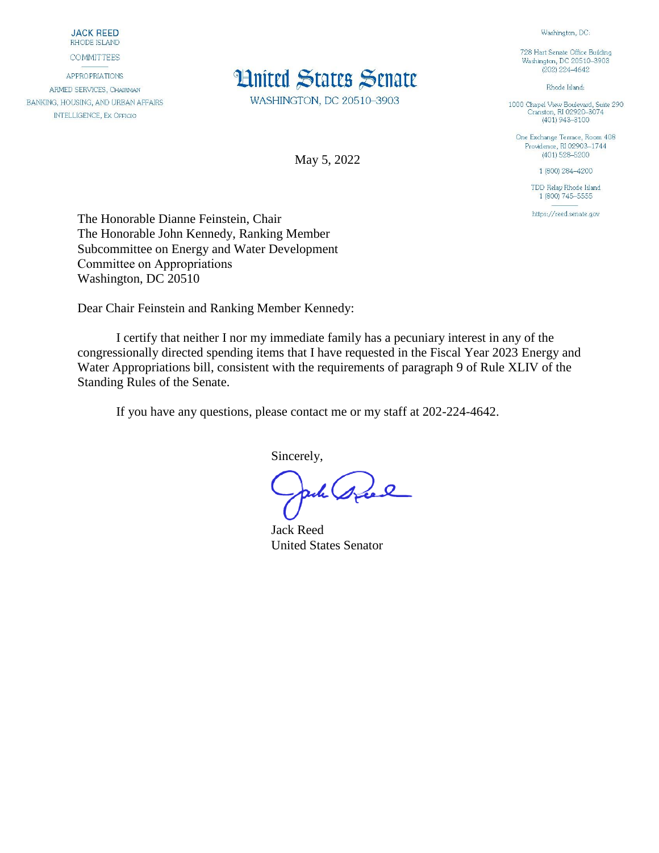**JACK REED** RHODE ISLAND

**COMMITTEES** 

**APPROPRIATIONS** ARMED SERVICES, CHAIRMAN BANKING, HOUSING, AND URBAN AFFAIRS **INTELLIGENCE, EX OFFICIO** 



WASHINGTON, DC 20510-3903

May 5, 2022

Washington, DC:

728 Hart Senate Office Building Washington, DC 20510-3903  $(202)$  224-4642

Rhode Island:

1000 Chapel View Boulevard, Suite 290<br>Cranston, RI 02920-3074  $(401)$  943-3100

One Exchange Terrace, Room 408 Providence, RI 02903-1744  $(401)$  528-5200

1 (800) 284-4200

TDD Relay Rhode Island 1 (800) 745-5555

https://reed.senate.gov

The Honorable Dianne Feinstein, Chair The Honorable John Kennedy, Ranking Member Subcommittee on Energy and Water Development Committee on Appropriations                                                Washington, DC 20510

Dear Chair Feinstein and Ranking Member Kennedy:

I certify that neither I nor my immediate family has a pecuniary interest in any of the congressionally directed spending items that I have requested in the Fiscal Year 2023 Energy and Water Appropriations bill, consistent with the requirements of paragraph 9 of Rule XLIV of the Standing Rules of the Senate.

If you have any questions, please contact me or my staff at 202-224-4642.

Sincerely,

ach spel

Jack Reed United States Senator